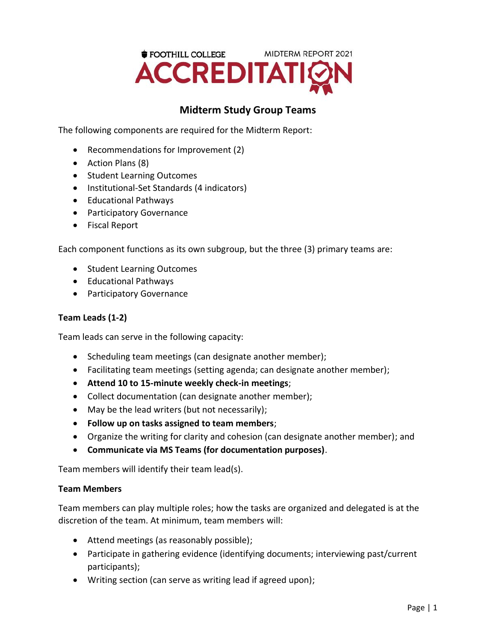

## **Midterm Study Group Teams**

The following components are required for the Midterm Report:

- Recommendations for Improvement (2)
- Action Plans (8)
- Student Learning Outcomes
- Institutional-Set Standards (4 indicators)
- Educational Pathways
- Participatory Governance
- Fiscal Report

Each component functions as its own subgroup, but the three (3) primary teams are:

- Student Learning Outcomes
- Educational Pathways
- Participatory Governance

## **Team Leads (1-2)**

Team leads can serve in the following capacity:

- Scheduling team meetings (can designate another member);
- Facilitating team meetings (setting agenda; can designate another member);
- **Attend 10 to 15-minute weekly check-in meetings**;
- Collect documentation (can designate another member);
- May be the lead writers (but not necessarily);
- **Follow up on tasks assigned to team members**;
- Organize the writing for clarity and cohesion (can designate another member); and
- **Communicate via MS Teams (for documentation purposes)**.

Team members will identify their team lead(s).

## **Team Members**

Team members can play multiple roles; how the tasks are organized and delegated is at the discretion of the team. At minimum, team members will:

- Attend meetings (as reasonably possible);
- Participate in gathering evidence (identifying documents; interviewing past/current participants);
- Writing section (can serve as writing lead if agreed upon);